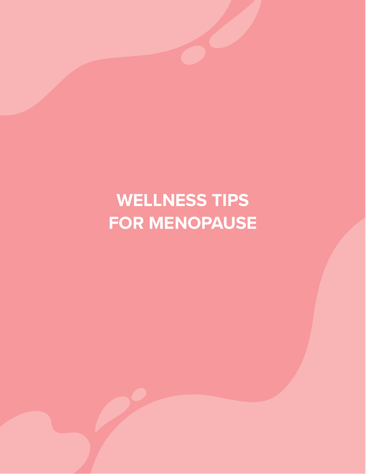# **WELLNESS TIPS FOR MENOPAUSE**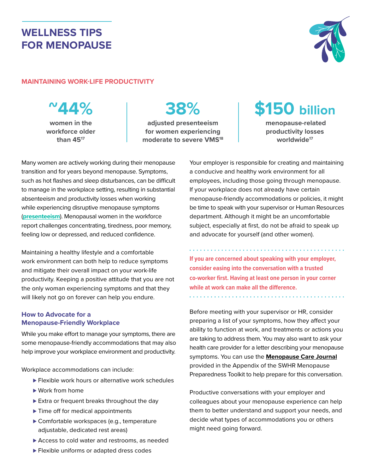### **WELLNESS TIPS FOR MENOPAUSE**



#### **MAINTAINING WORK-LIFE PRODUCTIVITY**

**~44% women in the**

**workforce older than 4517**

## **38%**

**adjusted presenteeism for women experiencing moderate to severe VMS18**



**menopause-related productivity losses worldwide17**

Many women are actively working during their menopause transition and for years beyond menopause. Symptoms, such as hot flashes and sleep disturbances, can be difficult to manage in the workplace setting, resulting in substantial absenteeism and productivity losses when working while experiencing disruptive menopause symptoms (**presenteeism**). Menopausal women in the workforce report challenges concentrating, tiredness, poor memory, feeling low or depressed, and reduced confidence.

Maintaining a healthy lifestyle and a comfortable work environment can both help to reduce symptoms and mitigate their overall impact on your work-life productivity. Keeping a positive attitude that you are not the only woman experiencing symptoms and that they will likely not go on forever can help you endure.

#### **How to Advocate for a Menopause-Friendly Workplace**

While you make effort to manage your symptoms, there are some menopause-friendly accommodations that may also help improve your workplace environment and productivity.

Workplace accommodations can include:

- ► Flexible work hours or alternative work schedules
- ► Work from home
- ► Extra or frequent breaks throughout the day
- ► Time off for medical appointments
- ▶ Comfortable workspaces (e.g., temperature adjustable, dedicated rest areas)
- ▶ Access to cold water and restrooms, as needed
- ► Flexible uniforms or adapted dress codes

Your employer is responsible for creating and maintaining a conducive and healthy work environment for all employees, including those going through menopause. If your workplace does not already have certain menopause-friendly accommodations or policies, it might be time to speak with your supervisor or Human Resources department. Although it might be an uncomfortable subject, especially at first, do not be afraid to speak up and advocate for yourself (and other women).

**If you are concerned about speaking with your employer, consider easing into the conversation with a trusted co-worker first. Having at least one person in your corner while at work can make all the difference.**

Before meeting with your supervisor or HR, consider preparing a list of your symptoms, how they affect your ability to function at work, and treatments or actions you are taking to address them. You may also want to ask your health care provider for a letter describing your menopause symptoms. You can use the **Menopause Care Journal** provided in the Appendix of the SWHR Menopause Preparedness Toolkit to help prepare for this conversation.

Productive conversations with your employer and colleagues about your menopause experience can help them to better understand and support your needs, and decide what types of accommodations you or others might need going forward.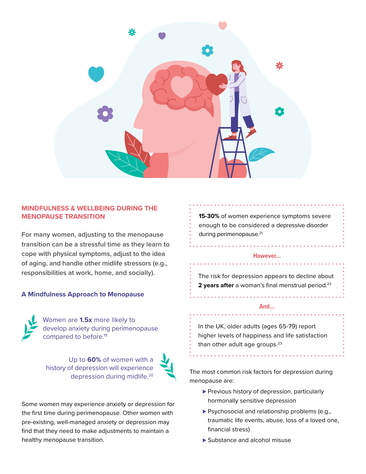

#### **MINDFULNESS & WELLBEING DURING THE MENOPAUSE TRANSITION**

**For many women, adjusting to the menopause transition can be a stressful time as they learn to cope with physical symptoms, adjust to the idea of aging, and handle other midlife stressors (e.g., responsibilities at work, home, and socially).**

#### **A Mindfulness Approach to Menopause**



Women are **1.5x** more likely to develop anxiety during perimenopause compared to before.19

Up to **60%** of women with a history of depression will experience depression during midlife.20



Some women may experience anxiety or depression for the first time during perimenopause. Other women with pre-existing, well-managed anxiety or depression may find that they need to make adjustments to maintain a healthy menopause transition.

**15-30%** of women experience symptoms severe enough to be considered a depressive disorder during perimenopause.<sup>21</sup>

#### **However…**

The risk for depression appears to decline about **2 years after** a woman's final menstrual period.<sup>22</sup>

#### **And...**

In the UK, older adults (ages 65-79) report higher levels of happiness and life satisfaction than other adult age groups.<sup>23</sup>

The most common risk factors for depression during menopause are:

- ▶ Previous history of depression, particularly hormonally sensitive depression
- ▶ Psychosocial and relationship problems (e.g., traumatic life events, abuse, loss of a loved one, financial stress)
- ► Substance and alcohol misuse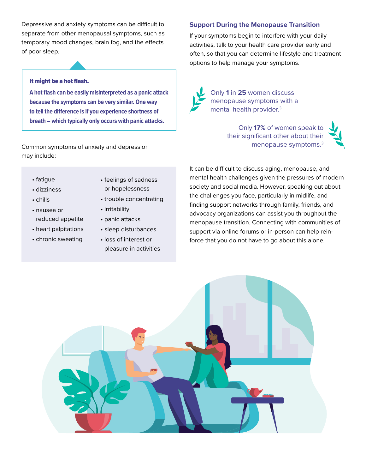Depressive and anxiety symptoms can be difficult to separate from other menopausal symptoms, such as temporary mood changes, brain fog, and the effects of poor sleep.

#### It might be a hot flash.

**A hot flash can be easily misinterpreted as a panic attack because the symptoms can be very similar. One way to tell the difference is if you experience shortness of breath – which typically only occurs with panic attacks.**

Common symptoms of anxiety and depression may include:

- fatigue
- dizziness
- chills
- nausea or reduced appetite
- heart palpitations
- chronic sweating
- feelings of sadness or hopelessness
- trouble concentrating
- irritability
- panic attacks
- sleep disturbances
- loss of interest or pleasure in activities

#### **Support During the Menopause Transition**

If your symptoms begin to interfere with your daily activities, talk to your health care provider early and often, so that you can determine lifestyle and treatment options to help manage your symptoms.



Only **1** in **25** women discuss menopause symptoms with a mental health provider.<sup>3</sup>

> Only **17%** of women speak to their significant other about their menopause symptoms.3



It can be difficult to discuss aging, menopause, and mental health challenges given the pressures of modern society and social media. However, speaking out about the challenges you face, particularly in midlife, and finding support networks through family, friends, and advocacy organizations can assist you throughout the menopause transition. Connecting with communities of support via online forums or in-person can help reinforce that you do not have to go about this alone.

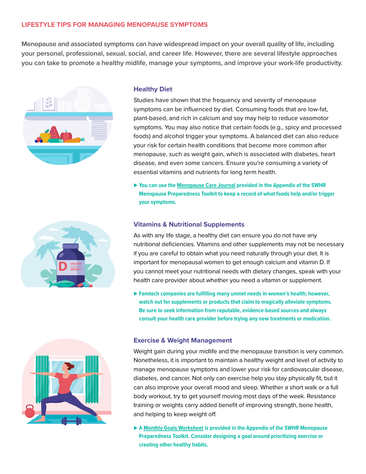#### **LIFESTYLE TIPS FOR MANAGING MENOPAUSE SYMPTOMS**

**Menopause and associated symptoms can have widespread impact on your overall quality of life, including your personal, professional, sexual, social, and career life. However, there are several lifestyle approaches you can take to promote a healthy midlife, manage your symptoms, and improve your work-life productivity.**







#### **Healthy Diet**

Studies have shown that the frequency and severity of menopause symptoms can be influenced by diet. Consuming foods that are low-fat, plant-based, and rich in calcium and soy may help to reduce vasomotor symptoms. You may also notice that certain foods (e.g., spicy and processed foods) and alcohol trigger your symptoms. A balanced diet can also reduce your risk for certain health conditions that become more common after menopause, such as weight gain, which is associated with diabetes, heart disease, and even some cancers. Ensure you're consuming a variety of essential vitamins and nutrients for long term health.

▶ You can use the Menopause Care Journal provided in the Appendix of the SWHR **Menopause Preparedness Toolkit to keep a record of what foods help and/or trigger your symptoms.**

#### **Vitamins & Nutritional Supplements**

As with any life stage, a healthy diet can ensure you do not have any nutritional deficiencies. Vitamins and other supplements may not be necessary if you are careful to obtain what you need naturally through your diet. It is important for menopausal women to get enough calcium and vitamin D. If you cannot meet your nutritional needs with dietary changes, speak with your health care provider about whether you need a vitamin or supplement.

► Femtech companies are fulfilling many unmet needs in women's health; however, **watch out for supplements or products that claim to magically alleviate symptoms. Be sure to seek information from reputable, evidence-based sources and always consult your health care provider before trying any new treatments or medication.**

#### **Exercise & Weight Management**

Weight gain during your midlife and the menopause transition is very common. Nonetheless, it is important to maintain a healthy weight and level of activity to manage menopause symptoms and lower your risk for cardiovascular disease, diabetes, and cancer. Not only can exercise help you stay physically fit, but it can also improve your overall mood and sleep. Whether a short walk or a full body workout, try to get yourself moving most days of the week. Resistance training or weights carry added benefit of improving strength, bone health, and helping to keep weight off.

⊲ **A Monthly Goals Worksheet is provided in the Appendix of the SWHR Menopause Preparedness Toolkit. Consider designing a goal around prioritizing exercise or creating other healthy habits.**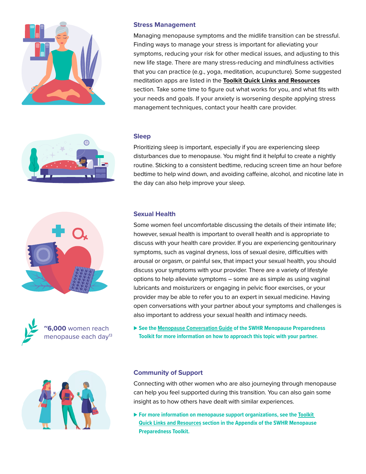

◠



Managing menopause symptoms and the midlife transition can be stressful. Finding ways to manage your stress is important for alleviating your symptoms, reducing your risk for other medical issues, and adjusting to this new life stage. There are many stress-reducing and mindfulness activities that you can practice (e.g., yoga, meditation, acupuncture). Some suggested meditation apps are listed in the **Toolkit Quick Links and Resources** section. Take some time to figure out what works for you, and what fits with your needs and goals. If your anxiety is worsening despite applying stress management techniques, contact your health care provider.

#### **Sleep**

Prioritizing sleep is important, especially if you are experiencing sleep disturbances due to menopause. You might find it helpful to create a nightly routine. Sticking to a consistent bedtime, reducing screen time an hour before bedtime to help wind down, and avoiding caffeine, alcohol, and nicotine late in the day can also help improve your sleep.







#### **Sexual Health**

Some women feel uncomfortable discussing the details of their intimate life; however, sexual health is important to overall health and is appropriate to discuss with your health care provider. If you are experiencing genitourinary symptoms, such as vaginal dryness, loss of sexual desire, difficulties with arousal or orgasm, or painful sex, that impact your sexual health, you should discuss your symptoms with your provider. There are a variety of lifestyle options to help alleviate symptoms – some are as simple as using vaginal lubricants and moisturizers or engaging in pelvic floor exercises, or your provider may be able to refer you to an expert in sexual medicine. Having open conversations with your partner about your symptoms and challenges is also important to address your sexual health and intimacy needs.

⊲ **See the Menopause Conversation Guide of the SWHR Menopause Preparedness Toolkit for more information on how to approach this topic with your partner.**

#### **Community of Support**

Connecting with other women who are also journeying through menopause can help you feel supported during this transition. You can also gain some insight as to how others have dealt with similar experiences.

▶ For more information on menopause support organizations, see the **Toolkit Quick Links and Resources section in the Appendix of the SWHR Menopause Preparedness Toolkit.**